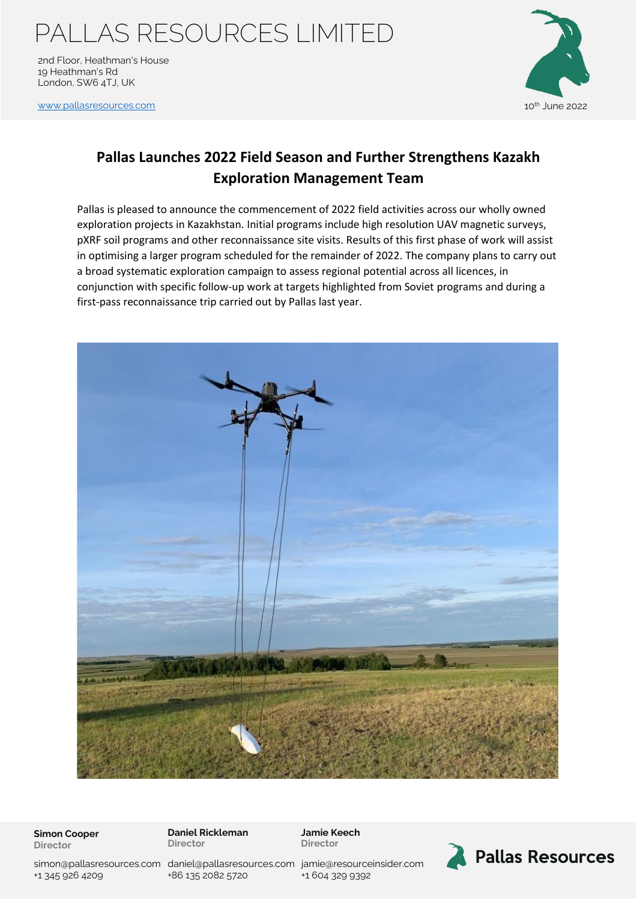# PALLAS RESOURCES LIMITED

2nd Floor, Heathman's House 19 Heathman's Rd London, SW6 4TJ, UK

[www.pallasresources.com](https://www.pallasresources.com/) **10th June 2022** 



### **Pallas Launches 2022 Field Season and Further Strengthens Kazakh Exploration Management Team**

Pallas is pleased to announce the commencement of 2022 field activities across our wholly owned exploration projects in Kazakhstan. Initial programs include high resolution UAV magnetic surveys, pXRF soil programs and other reconnaissance site visits. Results of this first phase of work will assist in optimising a larger program scheduled for the remainder of 2022. The company plans to carry out a broad systematic exploration campaign to assess regional potential across all licences, in conjunction with specific follow-up work at targets highlighted from Soviet programs and during a first-pass reconnaissance trip carried out by Pallas last year.



**Simon Cooper Director**

**Daniel Rickleman Director**

**Jamie Keech Director**





simon@pallasresources.com [daniel@pallasresources.com](mailto:daniel@pallasresources.com) jamie@resourceinsider.com +1 345 926 4209

+86 135 2082 5720

+1 604 329 9392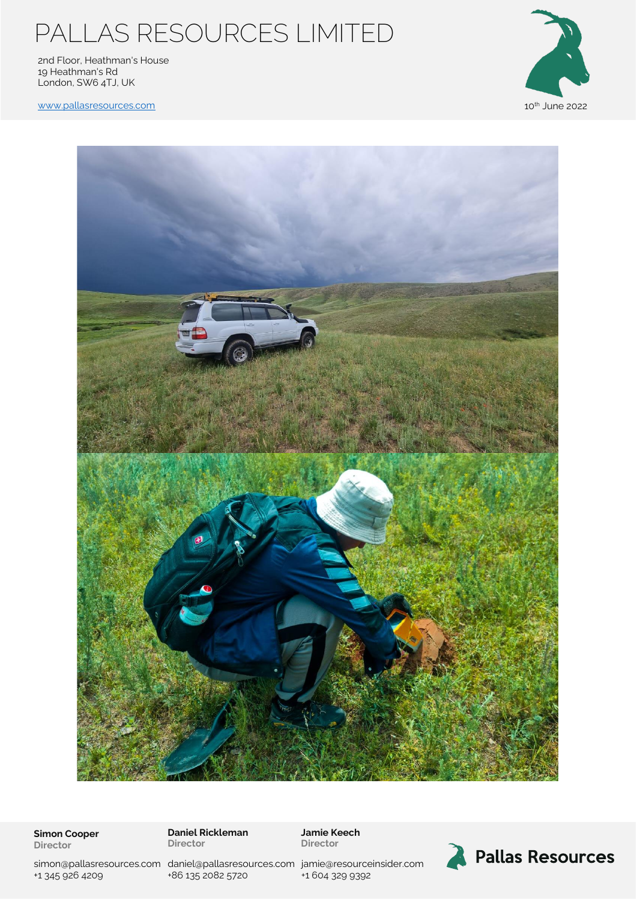# PALLAS RESOURCES LIMITED

2nd Floor, Heathman's House 19 Heathman's Rd London, SW6 4TJ, UK



[www.pallasresources.com](https://www.pallasresources.com/) and the community of the community of the community of the community of the community of the community of the community of the community of the community of the community of the community of the com



**Simon Cooper Director**

**Daniel Rickleman Director**

**Jamie Keech Director**



Pallas Resources

simon@pallasresources.com [daniel@pallasresources.com](mailto:daniel@pallasresources.com) jamie@resourceinsider.com +1 345 926 4209

+86 135 2082 5720

+1 604 329 9392